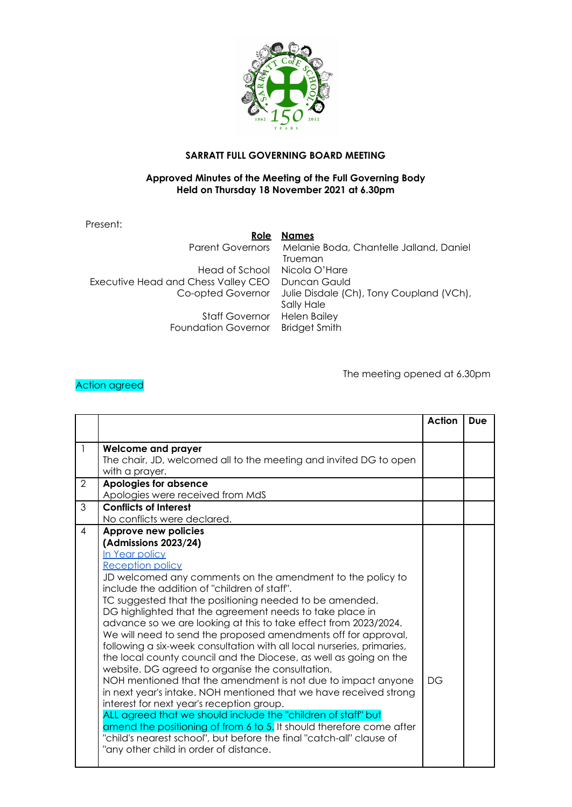

## **SARRATT FULL GOVERNING BOARD MEETING**

## **Approved Minutes of the Meeting of the Full Governing Body Held on Thursday 18 November 2021 at 6.30pm**

Present:

**Role Names**

Head of School Nicola O'Hare Executive Head and Chess Valley CEO Duncan Gauld Staff Governor Helen Bailey Foundation Governor Bridget Smith

Parent Governors Melanie Boda, Chantelle Jalland, Daniel Trueman Co-opted Governor Julie Disdale (Ch), Tony Coupland (VCh), Sally Hale

## Action agreed

The meeting opened at 6.30pm

|                |                                                                                                                                                                                                                                                                                                                                                                                                                                                                                                                                                                                                                                                                                                                                                                                                                                                                                                                                                                                                                                                                                                                      | Action | <b>Due</b> |
|----------------|----------------------------------------------------------------------------------------------------------------------------------------------------------------------------------------------------------------------------------------------------------------------------------------------------------------------------------------------------------------------------------------------------------------------------------------------------------------------------------------------------------------------------------------------------------------------------------------------------------------------------------------------------------------------------------------------------------------------------------------------------------------------------------------------------------------------------------------------------------------------------------------------------------------------------------------------------------------------------------------------------------------------------------------------------------------------------------------------------------------------|--------|------------|
|                |                                                                                                                                                                                                                                                                                                                                                                                                                                                                                                                                                                                                                                                                                                                                                                                                                                                                                                                                                                                                                                                                                                                      |        |            |
|                | <b>Welcome and prayer</b><br>The chair, JD, welcomed all to the meeting and invited DG to open<br>with a prayer.                                                                                                                                                                                                                                                                                                                                                                                                                                                                                                                                                                                                                                                                                                                                                                                                                                                                                                                                                                                                     |        |            |
| 2              | Apologies for absence<br>Apologies were received from MdS                                                                                                                                                                                                                                                                                                                                                                                                                                                                                                                                                                                                                                                                                                                                                                                                                                                                                                                                                                                                                                                            |        |            |
| 3              | <b>Conflicts of Interest</b><br>No conflicts were declared.                                                                                                                                                                                                                                                                                                                                                                                                                                                                                                                                                                                                                                                                                                                                                                                                                                                                                                                                                                                                                                                          |        |            |
| $\overline{4}$ | Approve new policies<br>(Admissions 2023/24)<br>In Year policy<br><b>Reception policy</b><br>JD welcomed any comments on the amendment to the policy to<br>include the addition of "children of staff".<br>TC suggested that the positioning needed to be amended.<br>DG highlighted that the agreement needs to take place in<br>advance so we are looking at this to take effect from 2023/2024.<br>We will need to send the proposed amendments off for approval,<br>following a six-week consultation with all local nurseries, primaries,<br>the local county council and the Diocese, as well as going on the<br>website. DG agreed to organise the consultation.<br>NOH mentioned that the amendment is not due to impact anyone<br>in next year's intake. NOH mentioned that we have received strong<br>interest for next year's reception group.<br>ALL agreed that we should include the "children of staff" but<br>amend the positioning of from 6 to 5. It should therefore come after<br>"child's nearest school", but before the final "catch-all" clause of<br>"any other child in order of distance. | DG     |            |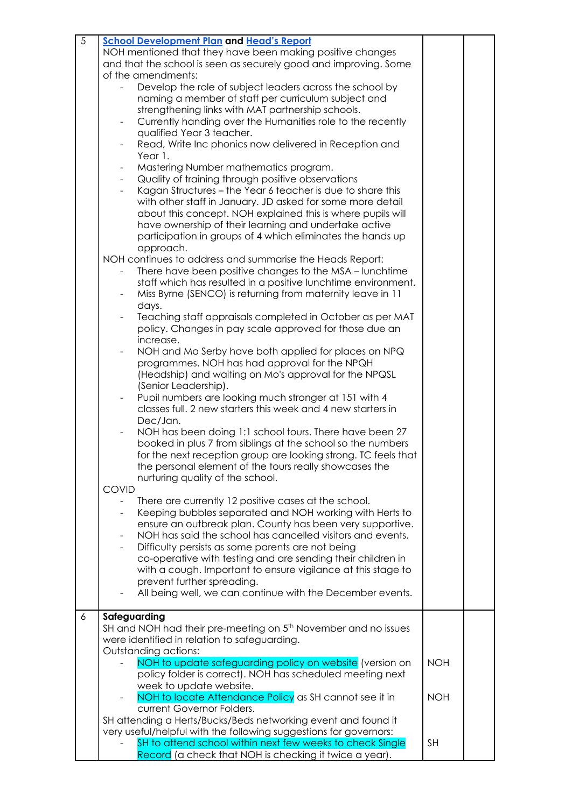| $\overline{5}$ | <b>School Development Plan and Head's Report</b>                                       |            |  |
|----------------|----------------------------------------------------------------------------------------|------------|--|
|                | NOH mentioned that they have been making positive changes                              |            |  |
|                | and that the school is seen as securely good and improving. Some                       |            |  |
|                |                                                                                        |            |  |
|                | of the amendments:                                                                     |            |  |
|                | Develop the role of subject leaders across the school by<br>$\overline{\phantom{0}}$   |            |  |
|                | naming a member of staff per curriculum subject and                                    |            |  |
|                | strengthening links with MAT partnership schools.                                      |            |  |
|                | Currently handing over the Humanities role to the recently<br>$\blacksquare$           |            |  |
|                | qualified Year 3 teacher.                                                              |            |  |
|                | Read, Write Inc phonics now delivered in Reception and<br>$\overline{\phantom{a}}$     |            |  |
|                | Year 1.                                                                                |            |  |
|                | Mastering Number mathematics program.<br>$\overline{\phantom{a}}$                      |            |  |
|                |                                                                                        |            |  |
|                | Quality of training through positive observations<br>$\blacksquare$                    |            |  |
|                | Kagan Structures - the Year 6 teacher is due to share this<br>$\overline{\phantom{a}}$ |            |  |
|                | with other staff in January. JD asked for some more detail                             |            |  |
|                | about this concept. NOH explained this is where pupils will                            |            |  |
|                | have ownership of their learning and undertake active                                  |            |  |
|                | participation in groups of 4 which eliminates the hands up                             |            |  |
|                | approach.                                                                              |            |  |
|                | NOH continues to address and summarise the Heads Report:                               |            |  |
|                | There have been positive changes to the MSA - lunchtime                                |            |  |
|                | staff which has resulted in a positive lunchtime environment.                          |            |  |
|                |                                                                                        |            |  |
|                | Miss Byrne (SENCO) is returning from maternity leave in 11                             |            |  |
|                | days.                                                                                  |            |  |
|                | Teaching staff appraisals completed in October as per MAT<br>$\blacksquare$            |            |  |
|                | policy. Changes in pay scale approved for those due an                                 |            |  |
|                | increase.                                                                              |            |  |
|                | NOH and Mo Serby have both applied for places on NPQ                                   |            |  |
|                | programmes. NOH has had approval for the NPQH                                          |            |  |
|                | (Headship) and waiting on Mo's approval for the NPQSL                                  |            |  |
|                | (Senior Leadership).                                                                   |            |  |
|                | Pupil numbers are looking much stronger at 151 with 4                                  |            |  |
|                | classes full. 2 new starters this week and 4 new starters in                           |            |  |
|                |                                                                                        |            |  |
|                | Dec/Jan.                                                                               |            |  |
|                | NOH has been doing 1:1 school tours. There have been 27                                |            |  |
|                | booked in plus 7 from siblings at the school so the numbers                            |            |  |
|                | for the next reception group are looking strong. TC feels that                         |            |  |
|                | the personal element of the tours really showcases the                                 |            |  |
|                | nurturing quality of the school.                                                       |            |  |
|                | <b>COVID</b>                                                                           |            |  |
|                | There are currently 12 positive cases at the school.                                   |            |  |
|                | Keeping bubbles separated and NOH working with Herts to                                |            |  |
|                | ensure an outbreak plan. County has been very supportive.                              |            |  |
|                | NOH has said the school has cancelled visitors and events.                             |            |  |
|                |                                                                                        |            |  |
|                | Difficulty persists as some parents are not being<br>$\overline{\phantom{a}}$          |            |  |
|                | co-operative with testing and are sending their children in                            |            |  |
|                | with a cough. Important to ensure vigilance at this stage to                           |            |  |
|                | prevent further spreading.                                                             |            |  |
|                | All being well, we can continue with the December events.                              |            |  |
|                |                                                                                        |            |  |
| 6              | Safeguarding                                                                           |            |  |
|                | SH and NOH had their pre-meeting on 5 <sup>th</sup> November and no issues             |            |  |
|                | were identified in relation to safeguarding.                                           |            |  |
|                | Outstanding actions:                                                                   |            |  |
|                | NOH to update safeguarding policy on website (version on                               | <b>NOH</b> |  |
|                | policy folder is correct). NOH has scheduled meeting next                              |            |  |
|                | week to update website.                                                                |            |  |
|                | NOH to locate Attendance Policy as SH cannot see it in                                 | <b>NOH</b> |  |
|                | current Governor Folders.                                                              |            |  |
|                |                                                                                        |            |  |
|                | SH attending a Herts/Bucks/Beds networking event and found it                          |            |  |
|                | very useful/helpful with the following suggestions for governors:                      |            |  |
|                | SH to attend school within next few weeks to check Single                              | <b>SH</b>  |  |
|                | Record (a check that NOH is checking it twice a year).                                 |            |  |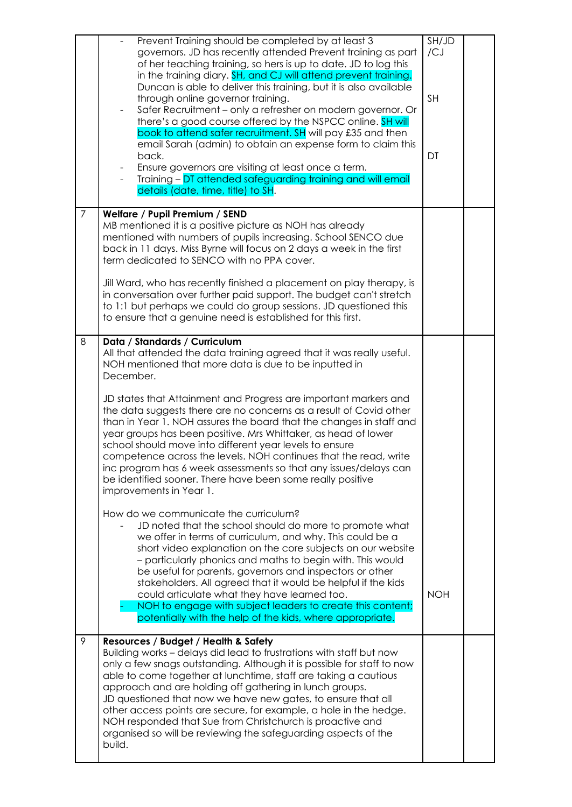|                | Prevent Training should be completed by at least 3<br>governors. JD has recently attended Prevent training as part<br>of her teaching training, so hers is up to date. JD to log this<br>in the training diary. SH, and CJ will attend prevent training.<br>Duncan is able to deliver this training, but it is also available<br>through online governor training.<br>Safer Recruitment - only a refresher on modern governor. Or<br>there's a good course offered by the NSPCC online. SH will<br>book to attend safer recruitment. SH will pay £35 and then<br>email Sarah (admin) to obtain an expense form to claim this<br>back.<br>Ensure governors are visiting at least once a term.<br>Training - DT attended safeguarding training and will email<br>details (date, time, title) to SH.                                                                                                                                                                                                                                                                                                                                                                                                                                                                                                                                                                 | SH/JD<br>/CJ<br><b>SH</b><br>DT |  |
|----------------|-------------------------------------------------------------------------------------------------------------------------------------------------------------------------------------------------------------------------------------------------------------------------------------------------------------------------------------------------------------------------------------------------------------------------------------------------------------------------------------------------------------------------------------------------------------------------------------------------------------------------------------------------------------------------------------------------------------------------------------------------------------------------------------------------------------------------------------------------------------------------------------------------------------------------------------------------------------------------------------------------------------------------------------------------------------------------------------------------------------------------------------------------------------------------------------------------------------------------------------------------------------------------------------------------------------------------------------------------------------------|---------------------------------|--|
| $\overline{7}$ | Welfare / Pupil Premium / SEND<br>MB mentioned it is a positive picture as NOH has already<br>mentioned with numbers of pupils increasing. School SENCO due<br>back in 11 days. Miss Byrne will focus on 2 days a week in the first<br>term dedicated to SENCO with no PPA cover.<br>Jill Ward, who has recently finished a placement on play therapy, is<br>in conversation over further paid support. The budget can't stretch<br>to 1:1 but perhaps we could do group sessions. JD questioned this<br>to ensure that a genuine need is established for this first.                                                                                                                                                                                                                                                                                                                                                                                                                                                                                                                                                                                                                                                                                                                                                                                             |                                 |  |
| 8              | Data / Standards / Curriculum<br>All that attended the data training agreed that it was really useful.<br>NOH mentioned that more data is due to be inputted in<br>December.<br>JD states that Attainment and Progress are important markers and<br>the data suggests there are no concerns as a result of Covid other<br>than in Year 1. NOH assures the board that the changes in staff and<br>year groups has been positive. Mrs Whittaker, as head of lower<br>school should move into different year levels to ensure<br>competence across the levels. NOH continues that the read, write<br>inc program has 6 week assessments so that any issues/delays can<br>be identified sooner. There have been some really positive<br>improvements in Year 1.<br>How do we communicate the curriculum?<br>JD noted that the school should do more to promote what<br>we offer in terms of curriculum, and why. This could be a<br>short video explanation on the core subjects on our website<br>- particularly phonics and maths to begin with. This would<br>be useful for parents, governors and inspectors or other<br>stakeholders. All agreed that it would be helpful if the kids<br>could articulate what they have learned too.<br>NOH to engage with subject leaders to create this content;<br>potentially with the help of the kids, where appropriate. | <b>NOH</b>                      |  |
| 9              | Resources / Budget / Health & Safety<br>Building works - delays did lead to frustrations with staff but now<br>only a few snags outstanding. Although it is possible for staff to now<br>able to come together at lunchtime, staff are taking a cautious<br>approach and are holding off gathering in lunch groups.<br>JD questioned that now we have new gates, to ensure that all<br>other access points are secure, for example, a hole in the hedge.<br>NOH responded that Sue from Christchurch is proactive and<br>organised so will be reviewing the safeguarding aspects of the<br>build.                                                                                                                                                                                                                                                                                                                                                                                                                                                                                                                                                                                                                                                                                                                                                                 |                                 |  |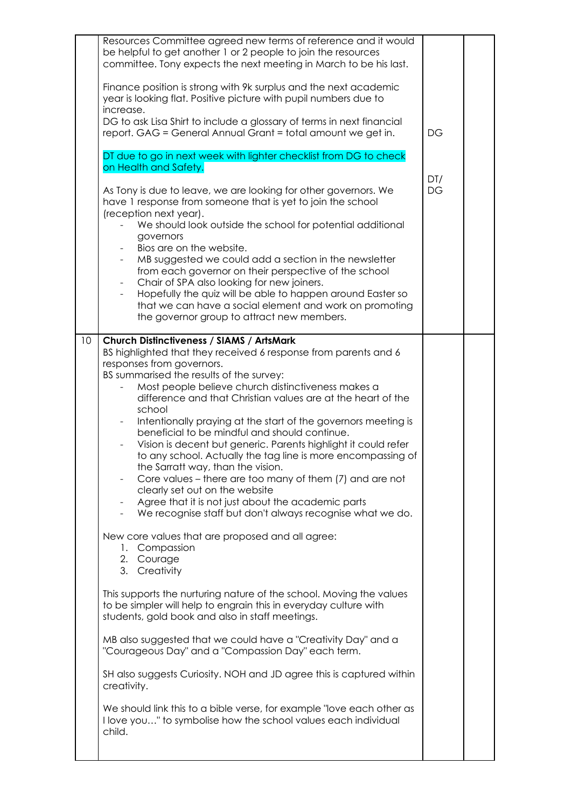|    | Resources Committee agreed new terms of reference and it would<br>be helpful to get another 1 or 2 people to join the resources<br>committee. Tony expects the next meeting in March to be his last.<br>Finance position is strong with 9k surplus and the next academic<br>year is looking flat. Positive picture with pupil numbers due to<br>increase.<br>DG to ask Lisa Shirt to include a glossary of terms in next financial<br>report. GAG = General Annual Grant = total amount we get in.<br>DT due to go in next week with lighter checklist from DG to check<br>on Health and Safety.<br>As Tony is due to leave, we are looking for other governors. We<br>have 1 response from someone that is yet to join the school<br>(reception next year).<br>We should look outside the school for potential additional<br>governors<br>Bios are on the website.<br>MB suggested we could add a section in the newsletter<br>from each governor on their perspective of the school<br>Chair of SPA also looking for new joiners.<br>Hopefully the quiz will be able to happen around Easter so<br>that we can have a social element and work on promoting<br>the governor group to attract new members.                                                                                                                                                                                                                                                                                                                            | DG<br>DT/<br><b>DG</b> |  |
|----|---------------------------------------------------------------------------------------------------------------------------------------------------------------------------------------------------------------------------------------------------------------------------------------------------------------------------------------------------------------------------------------------------------------------------------------------------------------------------------------------------------------------------------------------------------------------------------------------------------------------------------------------------------------------------------------------------------------------------------------------------------------------------------------------------------------------------------------------------------------------------------------------------------------------------------------------------------------------------------------------------------------------------------------------------------------------------------------------------------------------------------------------------------------------------------------------------------------------------------------------------------------------------------------------------------------------------------------------------------------------------------------------------------------------------------------------------------------------------------------------------------------------------------------|------------------------|--|
| 10 | Church Distinctiveness / SIAMS / ArtsMark<br>BS highlighted that they received 6 response from parents and 6<br>responses from governors.<br>BS summarised the results of the survey:<br>Most people believe church distinctiveness makes a<br>difference and that Christian values are at the heart of the<br>school<br>Intentionally praying at the start of the governors meeting is<br>$\qquad \qquad \blacksquare$<br>beneficial to be mindful and should continue.<br>Vision is decent but generic. Parents highlight it could refer<br>to any school. Actually the tag line is more encompassing of<br>the Sarratt way, than the vision.<br>Core values – there are too many of them (7) and are not<br>clearly set out on the website<br>Agree that it is not just about the academic parts<br>We recognise staff but don't always recognise what we do.<br>New core values that are proposed and all agree:<br>1. Compassion<br>2. Courage<br>3. Creativity<br>This supports the nurturing nature of the school. Moving the values<br>to be simpler will help to engrain this in everyday culture with<br>students, gold book and also in staff meetings.<br>MB also suggested that we could have a "Creativity Day" and a<br>"Courageous Day" and a "Compassion Day" each term.<br>SH also suggests Curiosity. NOH and JD agree this is captured within<br>creativity.<br>We should link this to a bible verse, for example "love each other as<br>I love you" to symbolise how the school values each individual<br>child. |                        |  |